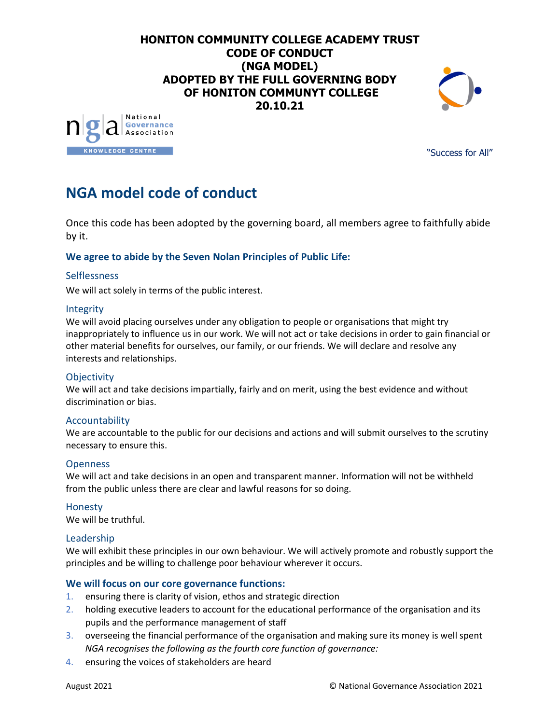# **HONITON COMMUNITY COLLEGE ACADEMY TRUST CODE OF CONDUCT (NGA MODEL) ADOPTED BY THE FULL GOVERNING BODY OF HONITON COMMUNYT COLLEGE 20.10.21**





"Success for All"

# **NGA model code of conduct**

Once this code has been adopted by the governing board, all members agree to faithfully abide by it.

# **We agree to abide by the Seven Nolan Principles of Public Life:**

# Selflessness

We will act solely in terms of the public interest.

#### Integrity

We will avoid placing ourselves under any obligation to people or organisations that might try inappropriately to influence us in our work. We will not act or take decisions in order to gain financial or other material benefits for ourselves, our family, or our friends. We will declare and resolve any interests and relationships.

# **Objectivity**

We will act and take decisions impartially, fairly and on merit, using the best evidence and without discrimination or bias.

# Accountability

We are accountable to the public for our decisions and actions and will submit ourselves to the scrutiny necessary to ensure this.

#### Openness

We will act and take decisions in an open and transparent manner. Information will not be withheld from the public unless there are clear and lawful reasons for so doing.

#### Honesty

We will be truthful.

# Leadership

We will exhibit these principles in our own behaviour. We will actively promote and robustly support the principles and be willing to challenge poor behaviour wherever it occurs.

# **We will focus on our core governance functions:**

- 1. ensuring there is clarity of vision, ethos and strategic direction
- 2. holding executive leaders to account for the educational performance of the organisation and its pupils and the performance management of staff
- 3. overseeing the financial performance of the organisation and making sure its money is well spent *NGA recognises the following as the fourth core function of governance:*
- 4. ensuring the voices of stakeholders are heard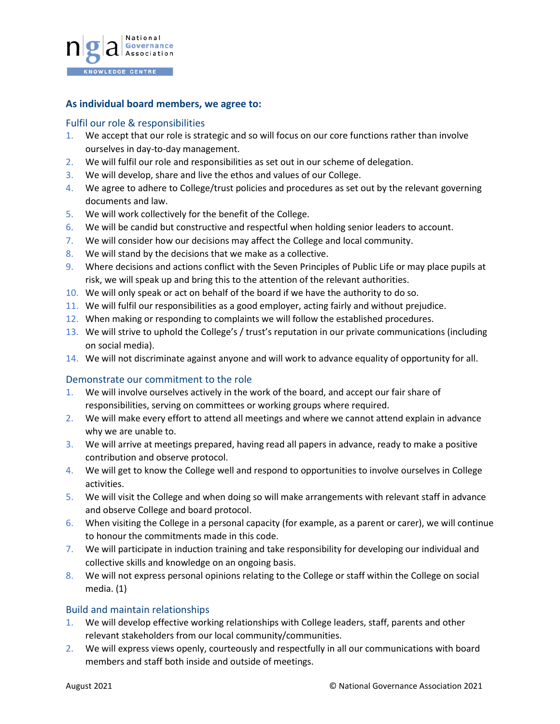

#### **As individual board members, we agree to:**

#### Fulfil our role & responsibilities

- 1. We accept that our role is strategic and so will focus on our core functions rather than involve ourselves in day-to-day management.
- 2. We will fulfil our role and responsibilities as set out in our [scheme of delegation.](https://www.nga.org.uk/Knowledge-Centre/Governance-structure-roles-and-responsibilities/Academy-trusts/Scheme-of-delegation.aspx)
- 3. We will develop, share and live the ethos and values of our College.
- 4. We agree to adhere to College/trust policies and procedures as set out by the relevant governing documents and law.
- 5. We will work collectively for the benefit of the College.
- 6. We will be candid but constructive and respectful when holding senior leaders to account.
- 7. We will consider how our decisions may affect the College and local community.
- 8. We will stand by the decisions that we make as a collective.
- 9. Where decisions and actions conflict with the Seven Principles of Public Life or may place pupils at risk, we will speak up and bring this to the attention of the relevant authorities.
- 10. We will only speak or act on behalf of the board if we have the authority to do so.
- 11. We will fulfil our responsibilities as a good employer, acting fairly and without prejudice.
- 12. When making or responding to complaints we will follow the established procedures.
- 13. We will strive to uphold the College's / trust's reputation in our private communications (including on social media).
- 14. We will not discriminate against anyone and will work to advance equality of opportunity for all.

# Demonstrate our commitment to the role

- 1. We will involve ourselves actively in the work of the board, and accept our fair share of responsibilities, serving on committees or working groups where required.
- 2. We will make every effort to attend all meetings and where we cannot attend explain in advance why we are unable to.
- 3. We will arrive at meetings prepared, having read all papers in advance, ready to make a positive contribution and observe protocol.
- 4. We will get to know the College well and respond to opportunities to involve ourselves in College activities.
- 5. We will visit the College and when doing so will make arrangements with relevant staff in advance and observe College and board protocol.
- 6. When visiting the College in a personal capacity (for example, as a parent or carer), we will continue to honour the commitments made in this code.
- 7. We will participate in induction training and take responsibility for developing our individual and collective skills and knowledge on an ongoing basis.
- 8. We will not express personal opinions relating to the College or staff within the College on social media. (1)

# Build and maintain relationships

- 1. We will develop effective working relationships with College leaders, staff, parents and other relevant stakeholders from our local community/communities.
- 2. We will express views openly, courteously and respectfully in all our communications with board members and staff both inside and outside of meetings.